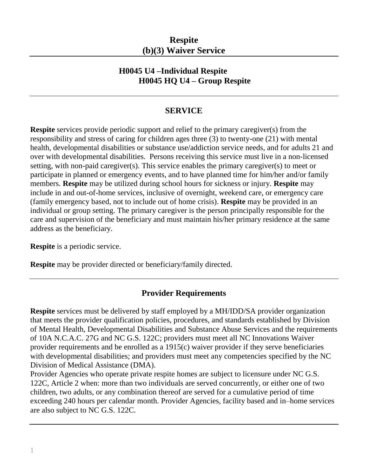# **Respite (b)(3) Waiver Service**

### **H0045 U4 –Individual Respite H0045 HQ U4 – Group Respite**

#### **SERVICE**

**Respite** services provide periodic support and relief to the primary caregiver(s) from the responsibility and stress of caring for children ages three (3) to twenty-one (21) with mental health, developmental disabilities or substance use/addiction service needs, and for adults 21 and over with developmental disabilities. Persons receiving this service must live in a non-licensed setting, with non-paid caregiver(s). This service enables the primary caregiver(s) to meet or participate in planned or emergency events, and to have planned time for him/her and/or family members. **Respite** may be utilized during school hours for sickness or injury. **Respite** may include in and out-of-home services, inclusive of overnight, weekend care, or emergency care (family emergency based, not to include out of home crisis). **Respite** may be provided in an individual or group setting. The primary caregiver is the person principally responsible for the care and supervision of the beneficiary and must maintain his/her primary residence at the same address as the beneficiary.

**Respite** is a periodic service.

**Respite** may be provider directed or beneficiary/family directed.

#### **Provider Requirements**

**Respite** services must be delivered by staff employed by a MH/IDD/SA provider organization that meets the provider qualification policies, procedures, and standards established by Division of Mental Health, Developmental Disabilities and Substance Abuse Services and the requirements of 10A N.C.A.C. 27G and NC G.S. 122C; providers must meet all NC Innovations Waiver provider requirements and be enrolled as a 1915(c) waiver provider if they serve beneficiaries with developmental disabilities; and providers must meet any competencies specified by the NC Division of Medical Assistance (DMA).

Provider Agencies who operate private respite homes are subject to licensure under NC G.S. 122C, Article 2 when: more than two individuals are served concurrently, or either one of two children, two adults, or any combination thereof are served for a cumulative period of time exceeding 240 hours per calendar month. Provider Agencies, facility based and in–home services are also subject to NC G.S. 122C.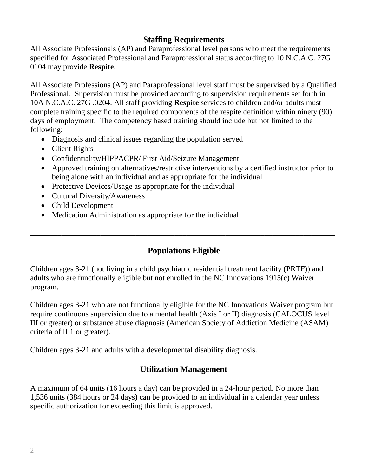## **Staffing Requirements**

All Associate Professionals (AP) and Paraprofessional level persons who meet the requirements specified for Associated Professional and Paraprofessional status according to 10 N.C.A.C. 27G 0104 may provide **Respite**.

All Associate Professions (AP) and Paraprofessional level staff must be supervised by a Qualified Professional. Supervision must be provided according to supervision requirements set forth in 10A N.C.A.C. 27G .0204. All staff providing **Respite** services to children and/or adults must complete training specific to the required components of the respite definition within ninety (90) days of employment. The competency based training should include but not limited to the following:

- Diagnosis and clinical issues regarding the population served
- Client Rights
- Confidentiality/HIPPACPR/ First Aid/Seizure Management
- Approved training on alternatives/restrictive interventions by a certified instructor prior to being alone with an individual and as appropriate for the individual
- Protective Devices/Usage as appropriate for the individual
- Cultural Diversity/Awareness
- Child Development
- Medication Administration as appropriate for the individual

# **Populations Eligible**

**\_\_\_\_\_\_\_\_\_\_\_\_\_\_\_\_\_\_\_\_\_\_\_\_\_\_\_\_\_\_\_\_\_\_\_\_\_\_\_\_\_\_\_\_\_\_\_\_\_\_\_\_\_\_\_\_\_\_\_\_\_\_\_\_\_\_\_\_\_\_\_\_\_\_\_\_\_\_**

Children ages 3-21 (not living in a child psychiatric residential treatment facility (PRTF)) and adults who are functionally eligible but not enrolled in the NC Innovations 1915(c) Waiver program.

Children ages 3-21 who are not functionally eligible for the NC Innovations Waiver program but require continuous supervision due to a mental health (Axis I or II) diagnosis (CALOCUS level III or greater) or substance abuse diagnosis (American Society of Addiction Medicine (ASAM) criteria of II.1 or greater).

Children ages 3-21 and adults with a developmental disability diagnosis.

# **Utilization Management**

A maximum of 64 units (16 hours a day) can be provided in a 24-hour period. No more than 1,536 units (384 hours or 24 days) can be provided to an individual in a calendar year unless specific authorization for exceeding this limit is approved.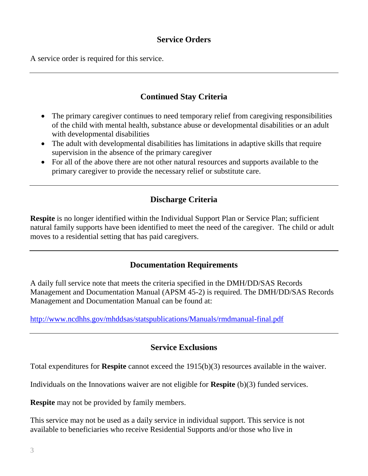### **Service Orders**

A service order is required for this service.

# **Continued Stay Criteria**

- The primary caregiver continues to need temporary relief from caregiving responsibilities of the child with mental health, substance abuse or developmental disabilities or an adult with developmental disabilities
- The adult with developmental disabilities has limitations in adaptive skills that require supervision in the absence of the primary caregiver
- For all of the above there are not other natural resources and supports available to the primary caregiver to provide the necessary relief or substitute care.

# **Discharge Criteria**

**Respite** is no longer identified within the Individual Support Plan or Service Plan; sufficient natural family supports have been identified to meet the need of the caregiver. The child or adult moves to a residential setting that has paid caregivers.

#### **Documentation Requirements**

A daily full service note that meets the criteria specified in the DMH/DD/SAS Records Management and Documentation Manual (APSM 45-2) is required. The DMH/DD/SAS Records Management and Documentation Manual can be found at:

<http://www.ncdhhs.gov/mhddsas/statspublications/Manuals/rmdmanual-final.pdf>

#### **Service Exclusions**

Total expenditures for **Respite** cannot exceed the 1915(b)(3) resources available in the waiver.

Individuals on the Innovations waiver are not eligible for **Respite** (b)(3) funded services.

**Respite** may not be provided by family members.

This service may not be used as a daily service in individual support. This service is not available to beneficiaries who receive Residential Supports and/or those who live in